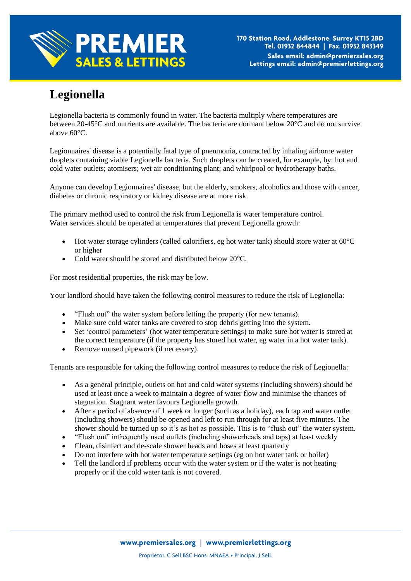

## **Legionella**

Legionella bacteria is commonly found in water. The bacteria multiply where temperatures are between 20-45°C and nutrients are available. The bacteria are dormant below 20°C and do not survive above 60°C.

Legionnaires' disease is a potentially fatal type of pneumonia, contracted by inhaling airborne water droplets containing viable Legionella bacteria. Such droplets can be created, for example, by: hot and cold water outlets; atomisers; wet air conditioning plant; and whirlpool or hydrotherapy baths.

Anyone can develop Legionnaires' disease, but the elderly, smokers, alcoholics and those with cancer, diabetes or chronic respiratory or kidney disease are at more risk.

The primary method used to control the risk from Legionella is water temperature control. Water services should be operated at temperatures that prevent Legionella growth:

- $\bullet$  Hot water storage cylinders (called calorifiers, eg hot water tank) should store water at 60 $\degree$ C or higher
- Cold water should be stored and distributed below 20°C.

For most residential properties, the risk may be low.

Your landlord should have taken the following control measures to reduce the risk of Legionella:

- "Flush out" the water system before letting the property (for new tenants).
- Make sure cold water tanks are covered to stop debris getting into the system.
- Set 'control parameters' (hot water temperature settings) to make sure hot water is stored at the correct temperature (if the property has stored hot water, eg water in a hot water tank).
- Remove unused pipework (if necessary).

Tenants are responsible for taking the following control measures to reduce the risk of Legionella:

- As a general principle, outlets on hot and cold water systems (including showers) should be used at least once a week to maintain a degree of water flow and minimise the chances of stagnation. Stagnant water favours Legionella growth.
- After a period of absence of 1 week or longer (such as a holiday), each tap and water outlet (including showers) should be opened and left to run through for at least five minutes. The shower should be turned up so it's as hot as possible. This is to "flush out" the water system.
- "Flush out" infrequently used outlets (including showerheads and taps) at least weekly
- Clean, disinfect and de-scale shower heads and hoses at least quarterly
- Do not interfere with hot water temperature settings (eg on hot water tank or boiler)
- Tell the landlord if problems occur with the water system or if the water is not heating properly or if the cold water tank is not covered.